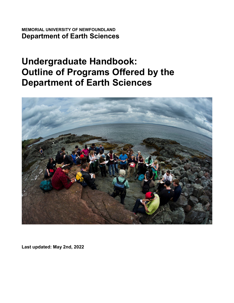**MEMORIAL UNIVERSITY OF NEWFOUNDLAND Department of Earth Sciences**

# **Undergraduate Handbook: Outline of Programs Offered by the Department of Earth Sciences**



**Last updated: May 2nd, 2022**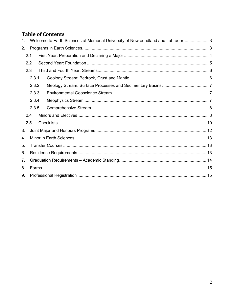# **Table of Contents**

| $\mathbf{1}$ . | Welcome to Earth Sciences at Memorial University of Newfoundland and Labrador 3 |       |  |  |  |  |
|----------------|---------------------------------------------------------------------------------|-------|--|--|--|--|
| 2.             |                                                                                 |       |  |  |  |  |
|                | 2.1                                                                             |       |  |  |  |  |
|                | 2.2                                                                             |       |  |  |  |  |
|                | 2.3                                                                             |       |  |  |  |  |
|                |                                                                                 | 2.3.1 |  |  |  |  |
|                |                                                                                 | 2.3.2 |  |  |  |  |
|                |                                                                                 | 2.3.3 |  |  |  |  |
|                |                                                                                 | 2.3.4 |  |  |  |  |
|                |                                                                                 | 2.3.5 |  |  |  |  |
|                | 2.4                                                                             |       |  |  |  |  |
|                | 2.5                                                                             |       |  |  |  |  |
| 3.             |                                                                                 |       |  |  |  |  |
| 4.             |                                                                                 |       |  |  |  |  |
| 5.             |                                                                                 |       |  |  |  |  |
| 6.             |                                                                                 |       |  |  |  |  |
| 7.             |                                                                                 |       |  |  |  |  |
| 8.             |                                                                                 |       |  |  |  |  |
| 9.             |                                                                                 |       |  |  |  |  |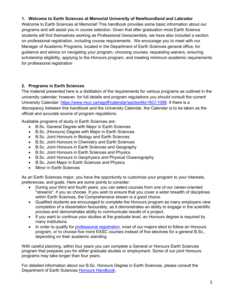# <span id="page-2-0"></span>**1. Welcome to Earth Sciences at Memorial University of Newfoundland and Labrador**

Welcome to Earth Sciences at Memorial! This handbook provides some basic information about our programs and will assist you in course selection. Given that after graduation most Earth Science students will find themselves working as Professional Geoscientists, we have also included a section on professional registration, including course requirements. We encourage you to meet with our Manager of Academic Programs, located in the Department of Earth Sciences general office, for guidance and advice on navigating your program, choosing courses, requesting waivers, ensuring scholarship eligibility, applying to the Honours program, and meeting minimum academic requirements for professional registration

# <span id="page-2-1"></span>**2. Programs in Earth Sciences**

The material presented here is a distillation of the requirements for various programs as outlined in the university calendar; however, for full details and program regulations you should consult the current University Calendar: [https://www.mun.ca/regoff/calendar/sectionNo=SCI-1098.](https://www.mun.ca/regoff/calendar/sectionNo=SCI-1098) If there is a discrepancy between this handbook and the University Calendar, the Calendar is to be taken as the official and accurate source of program regulations.

Available programs of study in Earth Sciences are:

- B.Sc. General Degree with Major in Earth Sciences
- B.Sc. (Honours) Degree with Major in Earth Sciences
- B.Sc. Joint Honours in Biology and Earth Sciences
- B.Sc. Joint Honours in Chemistry and Earth Sciences
- B.Sc. Joint Honours in Earth Sciences and Geography
- B.Sc. Joint Honours in Earth Sciences and Physics
- B.Sc. Joint Honours in Geophysics and Physical Oceanography
- B.Sc. Joint Major in Earth Sciences and Physics
- Minor in Earth Sciences

As an Earth Sciences major, you have the opportunity to customize your program to your interests, preferences, and goals. Here are some points to consider:

- During your third and fourth years, you can select courses from one of our career-oriented "streams", if you so choose. If you wish to ensure that you cover a wider breadth of disciplines within Earth Sciences, the Comprehensive stream is a good choice.
- Qualified students are encouraged to complete the Honours program as many employers view completion of a dissertation favourably, as it demonstrates an ability to engage in the scientific process and demonstrates ability to communicate results of a project.
- If you want to continue your studies at the graduate level, an Honours degree is required by many institutions.
- In order to qualify for [professional registration,](#page-14-1) most of our majors elect to follow an Honours program, or to choose five more EASC courses instead of five electives for a general B.Sc., depending on their academic standing.

With careful planning, within four years you can complete a General or Honours Earth Sciences program that prepares you for either graduate studies or employment. Some of our joint Honours programs may take longer than four years.

For detailed information about our B.Sc. Honours Degree in Earth Sciences, please consult the Department of Earth Sciences [Honours Handbook.](https://t4.mun.ca/migration/staging/earthsciences/media/migrations/staging/earth-sciences/media-library/Honours_Handbook_August_2018.pdf)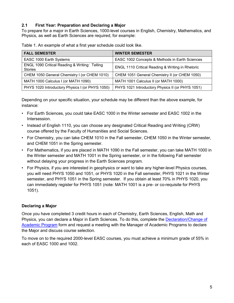# <span id="page-3-0"></span>**2.1 First Year: Preparation and Declaring a Major**

To prepare for a major in Earth Sciences, 1000-level courses in English, Chemistry, Mathematics, and Physics, as well as Earth Sciences are required, for example:

| <b>FALL SEMESTER</b>                                            | <b>WINTER SEMESTER</b>                           |
|-----------------------------------------------------------------|--------------------------------------------------|
| EASC 1000 Earth Systems                                         | EASC 1002 Concepts & Methods in Earth Sciences   |
| ENGL 1090 Critical Reading & Writing: Telling<br><b>Stories</b> | ENGL 1110 Critical Reading & Writing in Rhetoric |
| CHEM 1050 General Chemistry I (or CHEM 1010)                    | CHEM 1051 General Chemistry II (or CHEM 1050)    |
| MATH 1000 Calculus I (or MATH 1090)                             | MATH 1001 Calculus II (or MATH 1000)             |
| PHYS 1020 Introductory Physics I (or PHYS 1050)                 | PHYS 1021 Introductory Physics II (or PHYS 1051) |

Depending on your specific situation, your schedule may be different than the above example, for instance:

- For Earth Sciences, you could take EASC 1000 in the Winter semester and EASC 1002 in the **Intersession**
- Instead of English 1110, you can choose any designated Critical Reading and Writing (CRW) course offered by the Faculty of Humanities and Social Sciences.
- For Chemistry, you can take CHEM 1010 in the Fall semester, CHEM 1050 in the Winter semester, and CHEM 1051 in the Spring semester.
- For Mathematics, if you are placed in MATH 1090 in the Fall semester, you can take MATH 1000 in the Winter semester and MATH 1001 in the Spring semester, or in the following Fall semester without delaying your progress in the Earth Sciences program.
- For Physics, if you are interested in geophysics or want to take any higher-level Physics courses, you will need PHYS 1050 and 1051, or PHYS 1020 in the Fall semester, PHYS 1021 in the Winter semester, and PHYS 1051 in the Spring semester. If you obtain at least 70% in PHYS 1020, you can immediately register for PHYS 1051 (note: MATH 1001 is a pre- or co-requisite for PHYS 1051).

# **Declaring a Major**

Once you have completed 3 credit hours in each of Chemistry, Earth Sciences, English, Math and Physics, you can declare a Major in Earth Sciences. To do this, complete the [Declaration/Change of](https://www.mun.ca/regoff/media/production/memorial/administrative/office-of-the-registrar/files/forms/Declare-Change-Academic-Program-HSS-Sc.pdf)  [Academic Program](https://www.mun.ca/regoff/media/production/memorial/administrative/office-of-the-registrar/files/forms/Declare-Change-Academic-Program-HSS-Sc.pdf) form and request a meeting with the Manager of Academic Programs to declare the Major and discuss course selection.

To move on to the required 2000-level EASC courses, you must achieve a minimum grade of 55% in each of EASC 1000 and 1002.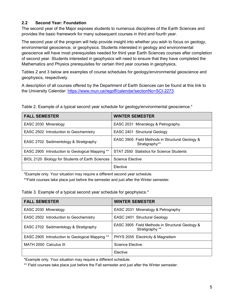# <span id="page-4-0"></span>**2.2 Second Year: Foundation**

The second year of the Major exposes students to numerous disciplines of the Earth Sciences and provides the basic framework for many subsequent courses in third and fourth year.

The second year of the program will help provide insight into whether you wish to focus on geology, environmental geoscience, or geophysics. Students interested in geology and environmental geoscience will have most prerequisites needed for third year Earth Sciences courses after completion of second year. Students interested in geophysics will need to ensure that they have completed the Mathematics and Physics prerequisites for certain third year courses in geophysics.

Tables 2 and 3 below are examples of course schedules for geology/environmental geoscience and geophysics, respectively.

A description of all courses offered by the Department of Earth Sciences can be found at this link to the University Calendar: [https://www.mun.ca/regoff/calendar/sectionNo=SCI-2273.](https://www.mun.ca/regoff/calendar/sectionNo=SCI-2273)

| Table 2. Example of a typical second year schedule for geology/environmental geoscience.* |  |  |  |  |
|-------------------------------------------------------------------------------------------|--|--|--|--|
|                                                                                           |  |  |  |  |

| <b>FALL SEMESTER</b>                                   | <b>WINTER SEMESTER</b>                                            |
|--------------------------------------------------------|-------------------------------------------------------------------|
| EASC 2030 Mineralogy                                   | EASC 2031 Mineralogy & Petrography                                |
| EASC 2502 Introduction to Geochemistry                 | EASC 2401 Structural Geology                                      |
| EASC 2702 Sedimentology & Stratigraphy                 | EASC 3905 Field Methods in Structural Geology &<br>Stratigraphy** |
| <b>EASC 2905</b> Introduction to Geological Mapping ** | STAT 2550 Statistics for Science Students                         |
| BIOL 2120 Biology for Students of Earth Sciences       | Science Elective                                                  |
|                                                        | Elective                                                          |

\*Example only. Your situation may require a different second year schedule.

\*\*Field courses take place just before the semester and just after the Winter semester.

Table 3. Example of a typical second year schedule for geophysics.\*

| <b>FALL SEMESTER</b>                            | <b>WINTER SEMESTER</b>                                             |
|-------------------------------------------------|--------------------------------------------------------------------|
| EASC 2030 Mineralogy                            | EASC 2031 Mineralogy & Petrography                                 |
| EASC 2502 Introduction to Geochemistry          | EASC 2401 Structural Geology                                       |
| EASC 2702 Sedimentology & Stratigraphy          | EASC 3905 Field Methods in Structural Geology &<br>Stratigraphy ** |
| EASC 2905 Introduction to Geological Mapping ** | PHYS 2055 Electricity & Magnetism                                  |
| MATH 2000 Calculus III                          | <b>Science Elective</b>                                            |
|                                                 | Elective                                                           |

\*Example only. Your situation may require a different schedule.

\*\* Field courses take place just before the Fall semester and just after the Winter semester.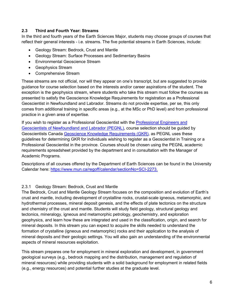# <span id="page-5-0"></span>**2.3 Third and Fourth Year: Streams**

In the third and fourth years of the Earth Sciences Major, students may choose groups of courses that reflect their general interests - i.e. streams. The five potential streams in Earth Sciences, include:

- Geology Stream: Bedrock, Crust and Mantle
- Geology Stream: Surface Processes and Sedimentary Basins
- Environmental Geoscience Stream
- Geophysics Stream
- Comprehensive Stream

These streams are not official, nor will they appear on one's transcript, but are suggested to provide guidance for course selection based on the interests and/or career aspirations of the student. The exception is the geophysics stream, where students who take this stream must follow the courses as presented to satisfy the Geoscience Knowledge Requirements for registration as a Professional Geoscientist in Newfoundland and Labrador. Streams do not provide expertise, per se, this only comes from additional training in specific areas (e.g., at the MSc or PhD level) and from professional practice in a given area of expertise.

If you wish to register as a Professional Geoscientist with the [Professional Engineers and](http://www.pegnl.ca/)  Geoscientists [of Newfoundland and Labrador \(PEGNL\),](http://www.pegnl.ca/) course selection should be guided by Geoscientists Canada [Geoscience Knowledge Requirements \(GKR\),](https://geoscientistscanada.ca/source/GC-Knowledge-Requ-BKLT--REV--EN--web--final-.pdf) as PEGNL uses these guidelines for determining GKR for individuals wishing to register as a Geoscientist in Training or a Professional Geoscientist in the province. Courses should be chosen using the PEGNL academic requirements spreadsheet provided by the department and in consultation with the Manager of Academic Programs.

Descriptions of all courses offered by the Department of Earth Sciences can be found in the University Calendar here: [https://www.mun.ca/regoff/calendar/sectionNo=SCI-2273.](https://www.mun.ca/regoff/calendar/sectionNo=SCI-2273)

# <span id="page-5-1"></span>2.3.1 Geology Stream: Bedrock, Crust and Mantle

The Bedrock, Crust and Mantle Geology Stream focuses on the composition and evolution of Earth's crust and mantle, including development of crystalline rocks, crustal-scale igneous, metamorphic, and hydrothermal processes, mineral deposit genesis, and the effects of plate tectonics on the structure and chemistry of the crust and mantle. Students will study field geology, structural geology and tectonics, mineralogy, igneous and metamorphic petrology, geochemistry, and exploration geophysics, and learn how these are integrated and used in the classification, origin, and search for mineral deposits. In this stream you can expect to acquire the skills needed to understand the formation of crystalline (igneous and metamorphic) rocks and their application to the analysis of mineral deposits and their geologic settings. You will also gain an understanding of the environmental aspects of mineral resources exploitation.

This stream prepares one for employment in mineral exploration and development, in government geological surveys (e.g., bedrock mapping and the distribution, management and regulation of mineral resources) while providing students with a solid background for employment in related fields (e.g., energy resources) and potential further studies at the graduate level.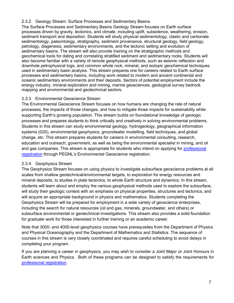# <span id="page-6-0"></span>2.3.2 Geology Stream: Surface Processes and Sedimentary Basins

The Surface Processes and Sedimentary Basins Geology Stream focuses on Earth surface processes driven by gravity, tectonics, and climate, including uplift, subsidence, weathering, erosion, sediment transport and deposition. Students will study physical sedimentology, clastic and carbonate sedimentology, paleontology, stratigraphy, sediment provenance, structural geology, field geology, petrology, diagenesis, sedimentary environments, and the tectonic setting and evolution of sedimentary basins. The stream will also provide training on the stratigraphic methods and geochemical tools for dating and correlating stratified sediment and sedimentary rocks. Students will also become familiar with a variety of remote geophysical methods, such as seismic reflection and downhole petrophysical logs, and common whole rock, mineral, and isotopic geochemical techniques used in sedimentary basin analysis. This stream prepares one for careers related to Earth surface processes and sedimentary basins, including work related to modern and ancient continental and oceanic sedimentary environments and their deposits. Sectors of potential employment include the energy industry, mineral exploration and mining, marine geosciences, geological survey bedrock mapping and environmental and geotechnical sectors.

# <span id="page-6-1"></span>2.3.3 Environmental Geoscience Stream

The Environmental Geoscience Stream focuses on how humans are changing the rate of natural processes, the impacts of those changes, and how to mitigate those impacts for sustainability while supporting Earth's growing population. This stream builds on foundational knowledge of geologic processes and prepares students to think critically and creatively in solving environmental problems. Students in this stream can study environmental geology, hydrogeology, geographical information systems (GIS), environmental geophysics, groundwater modelling, field techniques, and global change, etc. This stream prepares students for careers in environmental consulting, research, education and outreach, government, as well as being the environmental specialist in mining, and oil and gas companies. This stream is appropriate for students who intend on applying for [professional](#page-14-1)  [registration](#page-14-1) through PEGNL's Environmental Geoscience registration.

#### <span id="page-6-2"></span>2.3.4 Geophysics Stream

The Geophysics Stream focuses on using physics to investigate subsurface geoscience problems at all scales from shallow geotechnical/environmental targets, to exploration for energy resources and mineral deposits, to studies in plate tectonics, to whole Earth structure and dynamics. In this stream, students will learn about and employ the various geophysical methods used to explore the subsurface, will study their geologic context with an emphasis on physical properties, structures and tectonics, and will acquire an appropriate background in physics and mathematics. Students completing the Geophysics Stream will be prepared for employment in a wide variety of geoscience enterprises, including the search for natural resources (oil and gas, minerals, groundwater, and others) or subsurface environmental or geotechnical investigations. This stream also provides a solid foundation for graduate work for those interested in further training or an academic career.

Note that 3000- and 4000-level geophysics courses have prerequisites from the Department of Physics and Physical Oceanography and the Department of Mathematics and Statistics. The sequence of courses in this stream is very closely coordinated and requires careful scheduling to avoid delays in completing your program.

If you are planning a career in geophysics, you may wish to consider a Joint Major or Joint Honours in Earth sciences and Physics. Both of these programs can be designed to satisfy the requirements for [professional registration.](#page-14-1)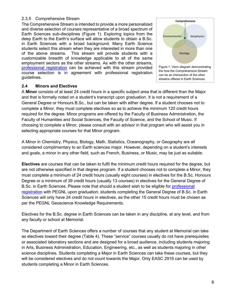#### <span id="page-7-0"></span>2.3.5 Comprehensive Stream

The Comprehensive Stream is intended to provide a more personalized and diverse selection of courses representative of a broad spectrum of Earth Sciences sub-disciplines (Figure 1). Exploring topics from the deep Earth to the Earth's surface will allow students to obtain a B.Sc. in Earth Sciences with a broad background. Many Earth Science students select this stream when they are interested in more than one of the above streams. This stream will provide students with a customizable breadth of knowledge applicable to all of the same employment sectors as the other streams. As with the other streams, [professional registration](#page-14-1) can be achieved with this stream provided course selection is in agreement with professional registration guidelines.



#### <span id="page-7-1"></span>**2.4 Minors and Electives**

A **Minor** consists of at least 24 credit hours in a specific subject area that is different than the Major and that is formally noted on a student's transcript upon graduation. It is not a requirement of a General Degree or Honours B.Sc., but can be taken with either degree. If a student chooses not to complete a Minor, they must complete electives so as to achieve the minimum 120 credit hours required for the degree. Minor programs are offered by the Faculty of Business Administration, the Faculty of Humanities and Social Sciences, the Faculty of Science, and the School of Music. If choosing to complete a Minor, please consult with an advisor in that program who will assist you in selecting appropriate courses for that Minor program.

A Minor in Chemistry, Physics, Biology, Math, Statistics, Oceanography, or Geography are all considered complimentary to an Earth sciences major. However, depending on a student's interests and goals, a minor in any other field, such as French, Business, or Music, may be just as suitable.

**Electives** are courses that can be taken to fulfil the minimum credit hours required for the degree, but are not otherwise specified in that degree program. If a student chooses not to complete a Minor, they must complete a minimum of 24 credit hours (usually eight courses) in electives for the B.Sc. Honours Degree or a minimum of 39 credit hours (usually 13 courses) in electives for the General Degree of B.Sc. in Earth Sciences. Please note that should a student wish to be eligible for [professional](#page-14-1)  [registration](#page-14-1) with PEGNL upon graduation, students completing the General Degree of B.Sc. in Earth Sciences will only have 24 credit hours in electives, as the other 15 credit hours must be chosen as per the PEGNL Geoscience Knowledge Requirements.

Electives for the B.Sc. degree in Earth Sciences can be taken in any discipline, at any level, and from any faculty or school at Memorial.

The Department of Earth Sciences offers a number of courses that any student at Memorial can take as electives toward their degree (Table 4). These "service" courses usually do not have prerequisites or associated laboratory sections and are designed for a broad audience, including students majoring in Arts, Business Administration, Education, Engineering, etc., as well as students majoring in other science disciplines. Students completing a Major in Earth Sciences can take these courses, but they will be considered electives and do not count towards the Major. Only EASC 2919 can be used by students completing a Minor in Earth Sciences.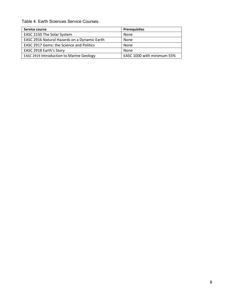Table 4. Earth Sciences Service Courses.

| Service course                                  | <b>Prerequisites</b>       |
|-------------------------------------------------|----------------------------|
| EASC 2150 The Solar System                      | None                       |
| EASC 2916 Natural Hazards on a Dynamic Earth    | None                       |
| <b>EASC 2917 Gems: the Science and Politics</b> | None                       |
| EASC 2918 Earth's Story                         | None                       |
| <b>EASC 2919 Introduction to Marine Geology</b> | EASC 1000 with minimum 55% |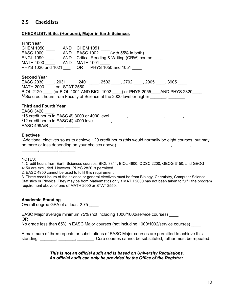# <span id="page-9-0"></span>**2.5 Checklists**

#### **CHECKLIST: B.Sc. (Honours), Major in Earth Sciences**

#### **First Year**

| <b>CHEM 1050</b>                         | <b>CHEM 1051</b><br>AND |                                         |                                                          |
|------------------------------------------|-------------------------|-----------------------------------------|----------------------------------------------------------|
| <b>EASC 1000</b>                         | <b>AND</b>              | EASC $1002$ (with 55% in both)          |                                                          |
| <b>ENGL 1090</b>                         | <b>AND</b>              | Critical Reading & Writing (CRW) course |                                                          |
| <b>MATH 1000</b>                         | MATH 1001<br>AND        |                                         |                                                          |
| PHYS 1020 and 1021 OR PHYS 1050 and 1051 |                         |                                         |                                                          |
|                                          |                         |                                         |                                                          |
| <b>Second Year</b>                       |                         |                                         |                                                          |
| <b>EASC 2030</b>                         |                         | 2031 , 2401 , 2502 , 2702               | . 2905<br>. 3905                                         |
|                                          |                         |                                         |                                                          |
| MATH 2000 or STAT 2550                   |                         |                                         |                                                          |
| <b>BIOL 2120</b>                         |                         |                                         | (or BIOL 1001 AND BIOL 1002 ) or PHYS 2055 AND PHYS 2820 |

#### **Third and Fourth Year**

\_\_\_\_\_\_\_, \_\_\_\_\_\_\_, \_\_\_\_\_\_\_

| <b>EASC 3420</b>                                |  |  |
|-------------------------------------------------|--|--|
| $215$ credit hours in EASC @ 3000 or 4000 level |  |  |
| $212$ credit hours in EASC @ 4000 level         |  |  |
| EASC 499A/B                                     |  |  |

#### **Electives**

 $^3$ Additional electives so as to achieve 120 credit hours (this would normally be eight courses, but may be more or less depending on your choices above) \_\_\_\_\_\_\_, \_\_\_\_\_\_\_, \_\_\_\_\_\_\_, \_\_\_\_\_\_\_, \_\_\_\_\_\_\_,

NOTES:

1. Credit hours from Earth Sciences courses, BIOL 3811, BIOL 4800, OCSC 2200, GEOG 3150, and GEOG 4150 are excluded. However, PHYS 2820 is permitted.

2. EASC 4950 cannot be used to fulfil this requirement

3. Three credit hours of the science or general electives must be from Biology, Chemistry, Computer Science, Statistics or Physics. They may be from Mathematics only if MATH 2000 has not been taken to fulfill the program requirement above of one of MATH 2000 or STAT 2550.

#### **Academic Standing**

Overall degree GPA of at least 2.75 \_\_\_\_

EASC Major average minimum 75% (not including 1000/1002/service courses) \_\_\_\_ OR

No grade less than 65% in EASC Major courses (not including 1000/1002/service courses)

A maximum of three repeats or substitutions of EASC Major courses are permitted to achieve this standing:  $\frac{1}{2}$ ,  $\frac{1}{2}$ ,  $\frac{1}{2}$  Core courses cannot be substituted, rather must be repeated.

> *This is not an official audit and is based on University Regulations. An official audit can only be provided by the Office of the Registrar.*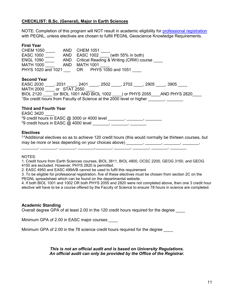#### **CHECKLIST: B.Sc. (General), Major in Earth Sciences**

NOTE: Completion of this program will NOT result in academic eligibility for [professional registration](#page-14-1) with PEGNL, unless electives are chosen to fulfill PEGNL Geoscience Knowledge Requirements.

#### **First Year**

| <b>CHEM 1050</b><br><b>AND</b><br><b>EASC 1000</b><br><b>AND</b><br><b>ENGL 1090</b><br>AND<br><b>MATH 1000</b><br><b>AND</b><br>PHYS 1020 and 1021 | <b>CHEM 1051</b><br>EASC $1002$ (with 55% in both)<br>Critical Reading & Writing (CRW) course<br><b>MATH 1001</b><br>OR PHYS 1050 and 1051                                                                                                  |
|-----------------------------------------------------------------------------------------------------------------------------------------------------|---------------------------------------------------------------------------------------------------------------------------------------------------------------------------------------------------------------------------------------------|
| <b>Second Year</b><br><b>EASC 2030</b><br>MATH 2000 or STAT 2550                                                                                    | , 2031        , 2401        , 2502        , 2702        , 2905         , 3905<br>BIOL 2120 (or BIOL 1001 AND BIOL 1002 ) or PHYS 2055<br>AND PHYS 2820<br><sup>1</sup> Six credit hours from Faculty of Science at the 2000 level or higher |

#### **Third and Fourth Year**

EASC 3420 \_\_\_\_  $^{2}$ 9 credit hours in EASC @ 3000 or 4000 level \_\_\_\_\_\_\_, \_\_\_\_\_\_\_, \_\_\_\_\_\_\_\_,  $^{2}$ 9 credit hours in EASC @ 4000 level \_\_\_\_\_\_\_, \_\_\_\_\_\_\_, \_\_\_\_\_\_\_\_

#### **Electives**

 $3,4$ Additional electives so as to achieve 120 credit hours (this would normally be thirteen courses, but may be more or less depending on your choices above) \_\_\_\_\_\_, \_\_\_\_\_\_, \_\_\_\_\_\_, \_\_\_\_\_\_,

#### NOTES:

1. Credit hours from Earth Sciences courses, BIOL 3811, BIOL 4800, OCSC 2200, GEOG 3150, and GEOG 4150 are excluded. However, PHYS 2820 is permitted.

\_\_\_\_\_\_\_, \_\_\_\_\_\_\_, \_\_\_\_\_\_\_, \_\_\_\_\_\_\_,\_\_\_\_\_\_\_, \_\_\_\_\_\_\_, \_\_\_\_\_\_\_, \_\_\_\_\_\_\_, \_\_\_\_\_\_\_

2. EASC 4950 and EASC 499A/B cannot be used to fulfil this requirement

3. To be eligible for professional registration, five of these electives must be chosen from section 2C on the PEGNL spreadsheet which can be found on the departmental website.

4. If both BIOL 1001 and 1002 OR both PHYS 2055 and 2820 were not completed above, then one 3 credit hour elective will have to be a course offered by the Faculty of Science to ensure 78 hours in science are completed.

#### **Academic Standing**

Overall degree GPA of at least 2.00 in the 120 credit hours required for the degree \_\_\_\_

Minimum GPA of 2.00 in EASC major courses

Minimum GPA of 2.00 in the 78 science credit hours required for the degree

#### *This is not an official audit and is based on University Regulations. An official audit can only be provided by the Office of the Registrar.*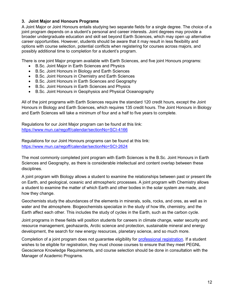## <span id="page-11-0"></span>**3. Joint Major and Honours Programs**

A Joint Major or Joint Honours entails studying two separate fields for a single degree. The choice of a joint program depends on a student's personal and career interests. Joint degrees may provide a broader undergraduate education and skill set beyond Earth Sciences, which may open up alternative career opportunities. However, students should be aware that it may result in less flexibility and options with course selection, potential conflicts when registering for courses across majors, and possibly additional time to completion for a student's program.

There is one joint Major program available with Earth Sciences, and five joint Honours programs:

- B.Sc. Joint Major in Earth Sciences and Physics
- B.Sc. Joint Honours in Biology and Earth Sciences
- B.Sc. Joint Honours in Chemistry and Earth Sciences
- B.Sc. Joint Honours in Earth Sciences and Geography
- B.Sc. Joint Honours in Earth Sciences and Physics
- B.Sc. Joint Honours in Geophysics and Physical Oceanography

All of the joint programs with Earth Sciences require the standard 120 credit hours, except the Joint Honours in Biology and Earth Sciences, which requires 135 credit hours. The Joint Honours in Biology and Earth Sciences will take a minimum of four and a half to five years to complete.

Regulations for our Joint Major program can be found at this link: <https://www.mun.ca/regoff/calendar/sectionNo=SCI-4166>

Regulations for our Joint Honours programs can be found at this link: <https://www.mun.ca/regoff/calendar/sectionNo=SCI-2624>

The most commonly completed joint program with Earth Sciences is the B.Sc. Joint Honours in Earth Sciences and Geography, as there is considerable intellectual and content overlap between these disciplines.

A joint program with Biology allows a student to examine the relationships between past or present life on Earth, and geological, oceanic and atmospheric processes. A joint program with Chemistry allows a student to examine the matter of which Earth and other bodies in the solar system are made, and how they change.

Geochemists study the abundances of the elements in minerals, soils, rocks, and ores, as well as in water and the atmosphere. Biogeochemists specialize in the study of how life, chemistry, and the Earth affect each other. This includes the study of cycles in the Earth, such as the carbon cycle.

Joint programs in these fields will position students for careers in climate change, water security and resource management, geohazards, Arctic science and protection, sustainable mineral and energy development, the search for new energy resources, planetary science, and so much more.

Completion of a joint program does not guarantee eligibility for [professional registration.](#page-14-1) If a student wishes to be eligible for registration, they must choose courses to ensure that they meet PEGNL Geoscience Knowledge Requirements, and course selection should be done in consultation with the Manager of Academic Programs.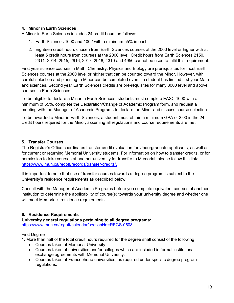# <span id="page-12-0"></span>**4. Minor in Earth Sciences**

A Minor in Earth Sciences includes 24 credit hours as follows:

- 1. Earth Sciences 1000 and 1002 with a minimum 55% in each.
- 2. Eighteen credit hours chosen from Earth Sciences courses at the 2000 level or higher with at least 5 credit hours from courses at the 2000 level. Credit hours from Earth Sciences 2150, 2311, 2914, 2915, 2916, 2917, 2918, 4310 and 4950 cannot be used to fulfil this requirement.

First year science courses in Math, Chemistry, Physics and Biology are prerequisites for most Earth Sciences courses at the 2000 level or higher that can be counted toward the Minor. However, with careful selection and planning, a Minor can be completed even if a student has limited first year Math and sciences. Second year Earth Sciences credits are pre-requisites for many 3000 level and above courses in Earth Sciences.

To be eligible to declare a Minor in Earth Sciences, students must complete EASC 1000 with a minimum of 55%, complete the Declaration/Change of Academic Program form, and request a meeting with the Manager of Academic Programs to declare the Minor and discuss course selection.

To be awarded a Minor in Earth Sciences, a student must obtain a minimum GPA of 2.00 in the 24 credit hours required for the Minor, assuming all regulations and course requirements are met.

# <span id="page-12-1"></span>**5. Transfer Courses**

The Registrar's Office coordinates transfer credit evaluation for Undergraduate applicants, as well as for current or returning Memorial University students. For information on how to transfer credits, or for permission to take courses at another university for transfer to Memorial, please follow this link: [https://www.mun.ca/regoff/records/transfer-credits/.](https://www.mun.ca/regoff/records/transfer-credits/)

It is important to note that use of transfer courses towards a degree program is subject to the University's residence requirements as described below.

Consult with the Manager of Academic Programs before you complete equivalent courses at another institution to determine the applicability of course(s) towards your university degree and whether one will meet Memorial's residence requirements.

# <span id="page-12-2"></span>**6. Residence Requirements**

**University general regulations pertaining to all degree programs:** <https://www.mun.ca/regoff/calendar/sectionNo=REGS-0508>

# First Degree

1. More than half of the total credit hours required for the degree shall consist of the following:

- Courses taken at Memorial University.
- Courses taken at universities and/or colleges which are included in formal institutional exchange agreements with Memorial University.
- Courses taken at Francophone universities, as required under specific degree program regulations.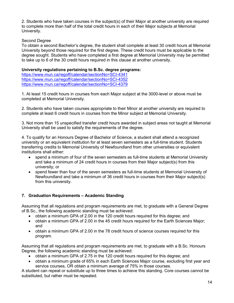2. Students who have taken courses in the subject(s) of their Major at another university are required to complete more than half of the total credit hours in each of their Major subjects at Memorial University.

## Second Degree

To obtain a second Bachelor's degree, the student shall complete at least 30 credit hours at Memorial University beyond those required for the first degree. These credit hours must be applicable to the degree sought. Students who have completed a first degree at Memorial University may be permitted to take up to 6 of the 30 credit hours required in this clause at another university.

#### **University regulations pertaining to B.Sc. degree programs:**

<https://www.mun.ca/regoff/calendar/sectionNo=SCI-4341> <https://www.mun.ca/regoff/calendar/sectionNo=SCI-4352> <https://www.mun.ca/regoff/calendar/sectionNo=SCI-4379>

1. At least 15 credit hours in courses from each Major subject at the 3000-level or above must be completed at Memorial University.

2. Students who have taken courses appropriate to their Minor at another university are required to complete at least 6 credit hours in courses from the Minor subject at Memorial University.

3. Not more than 15 unspecified transfer credit hours awarded in subject areas not taught at Memorial University shall be used to satisfy the requirements of the degree.

4. To qualify for an Honours Degree of Bachelor of Science, a student shall attend a recognized university or an equivalent institution for at least seven semesters as a full-time student. Students transferring credits to Memorial University of Newfoundland from other universities or equivalent institutions shall either:

- spend a minimum of four of the seven semesters as full-time students at Memorial University and take a minimum of 24 credit hours in courses from their Major subject(s) from this university; or
- spend fewer than four of the seven semesters as full-time students at Memorial University of Newfoundland and take a minimum of 36 credit hours in courses from their Major subject(s) from this university.

# <span id="page-13-0"></span>**7. Graduation Requirements – Academic Standing**

Assuming that all regulations and program requirements are met, to graduate with a General Degree of B.Sc., the following academic standing must be achieved:

- obtain a minimum GPA of 2.00 in the 120 credit hours required for this degree; and
- obtain a minimum GPA of 2.00 in the 45 credit hours required for the Earth Sciences Major; and
- obtain a minimum GPA of 2.00 in the 78 credit hours of science courses required for this program.

Assuming that all regulations and program requirements are met, to graduate with a B.Sc. Honours Degree, the following academic standing must be achieved:

- obtain a minimum GPA of 2.75 in the 120 credit hours required for this degree; and
- obtain a minimum grade of 65% in each Earth Sciences Major course, excluding first year and service courses, OR obtain a minimum average of 75% in those courses.

A student can repeat or substitute up to three times to achieve this standing. Core courses cannot be substituted, but rather must be repeated.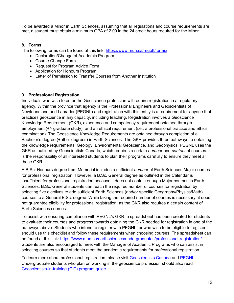To be awarded a Minor in Earth Sciences, assuming that all regulations and course requirements are met, a student must obtain a minimum GPA of 2.00 in the 24 credit hours required for the Minor.

# <span id="page-14-0"></span>**8. Forms**

The following forms can be found at this link: <https://www.mun.ca/regoff/forms/>

- Declaration/Change of Academic Program
- Course Change Form
- Request for Program Advice Form
- Application for Honours Program
- Letter of Permission to Transfer Courses from Another Institution

# <span id="page-14-1"></span>**9. Professional Registration**

Individuals who wish to enter the Geoscience profession will require registration in a regulatory agency. Within the province that agency is the Professional Engineers and Geoscientists of Newfoundland and Labrador (PEGNL) and registration with this entity is a requirement for anyone that practices geoscience in any capacity, including teaching. Registration involves a Geoscience Knowledge Requirement (GKR), experience and competency requirement obtained through employment (+/- graduate study), and an ethical requirement (i.e., a professional practice and ethics examination). The Geoscience Knowledge Requirements are obtained through completion of a Bachelor's degree (+other degrees) in Earth Sciences. The GKR provides three pathways to obtaining the knowledge requirements: Geology, Environmental Geoscience, and Geophysics. PEGNL uses the GKR as outlined by Geoscientists Canada, which requires a certain *number* and *content* of courses. It is the responsibility of all interested students to plan their programs carefully to ensure they meet all these GKR.

A B.Sc. Honours degree from Memorial includes a sufficient *number* of Earth Sciences Major courses for professional registration. However, a B.Sc. General degree as outlined in the Calendar is insufficient for professional registration because it does not contain enough Major courses in Earth Sciences. B.Sc. General students can reach the required number of courses for registration by selecting five electives to add sufficient Earth Sciences (and/or specific Geography/Physics/Math) courses to a General B.Sc. degree. While taking the required number of courses is necessary, it does not guarantee eligibility for professional registration, as the GKR also requires a certain content of Earth Sciences courses.

To assist with ensuring compliance with PEGNL's GKR, a spreadsheet has been created for students to evaluate their courses and progress towards obtaining the GKR needed for registration in one of the pathways above. Students who intend to register with PEGNL, or who wish to be eligible to register, should use this checklist and follow these requirements when choosing courses. The spreadsheet can be found at this link: [https://www.mun.ca/earthsciences/undergraduates/professional-registration/.](https://www.mun.ca/earthsciences/undergraduates/professional-registration/) Students are also encouraged to meet with the Manager of Academic Programs who can assist in selecting courses so that students meet the academic requirements for professional registration.

To learn more about professional registration, please visit [Geoscientists Canada](http://www.geoscientistscanada.ca/) and [PEGNL.](http://www.pegnl.ca/) Undergraduate students who plan on working in the geoscience profession should also read [Geoscientists-in-training \(GIT\) program guide.](https://www.mun.ca/earthsciences/media/production/memorial/academic/faculty-of-science/earth-sciences/media-library/students/GIT-BookletWEB.pdf)